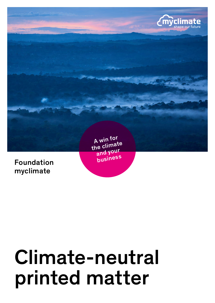

myclimate

# Climate-neutral printed matter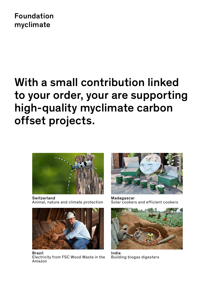### Foundation myclimate

## With a small contribution linked to your order, your are supporting high-quality myclimate carbon offset projects.



**Switzerland** Animal, nature and climate protection



Brazil Electricity from FSC Wood Waste in the Amazon



Madagascar Solar cookers and efficient cookers



India Building biogas digesters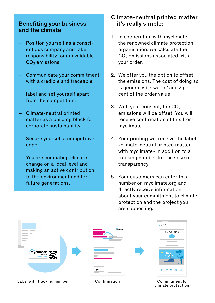#### Benefiting your business and the climate

- Position yourself as a conscientious company and take responsibility for unavoidable CO<sub>2</sub> emissions.
- Communicate your commitment with a credible and traceable

label and set yourself apart from the competition.

- Climate-neutral printed matter as a building block for corporate sustainability.
- Secure yourself a competitive edge.
- You are combating climate change on a local level and making an active contribution to the environment and for future generations.

#### Climate-neutral printed matter – it's really simple:

- 1. In cooperation with myclimate, the renowned climate protection organisation, we calculate the CO₂ emissions associated with your order.
- 2. We offer you the option to offset the emissions. The cost of doing so is generally between 1 and 2 per cent of the order value.
- 3. With your consent, the CO<sub>2</sub> emissions will be offset. You will receive confirmation of this from myclimate.
- 4. Your printing will receive the label «climate-neutral printed matter with myclimate» in addition to a tracking number for the sake of transparency.
- 5. Your customers can enter this number on myclimate.org and directly receive information about your commitment to climate protection and the project you are supporting.



climate protection